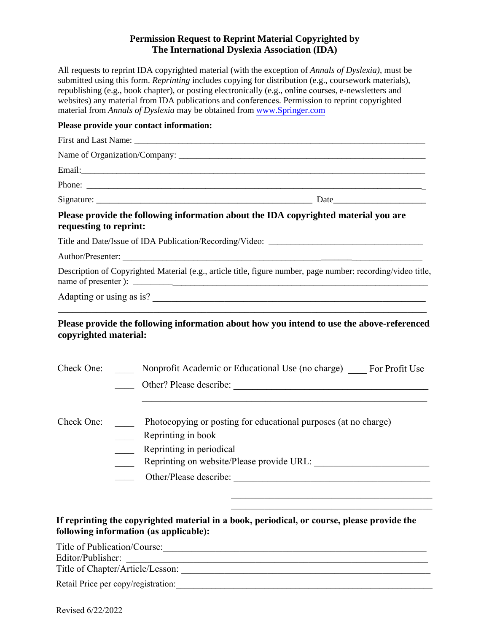# **Permission Request to Reprint Material Copyrighted by The International Dyslexia Association (IDA)**

All requests to reprint IDA copyrighted material (with the exception of *Annals of Dyslexia)*, must be submitted using this form. *Reprinting* includes copying for distribution (e.g., coursework materials), republishing (e.g., book chapter), or posting electronically (e.g., online courses, e-newsletters and websites) any material from IDA publications and conferences. Permission to reprint copyrighted material from *Annals of Dyslexia* may be obtained from www.Springer.com

# **Please provide your contact information:**  First and Last Name: Name of Organization/Company: Email:\_\_\_\_\_\_\_\_\_\_\_\_\_\_\_\_\_\_\_\_\_\_\_\_\_\_\_\_\_\_\_\_\_\_\_\_\_\_\_\_\_\_\_\_\_\_\_\_\_\_\_\_\_\_\_\_\_\_\_\_\_\_\_\_\_\_\_\_\_\_\_\_\_\_\_\_\_\_ Phone: \_\_\_\_\_\_\_\_\_\_\_\_\_\_\_\_\_\_\_\_\_\_\_\_\_\_\_\_\_\_\_\_\_\_\_\_\_\_\_\_\_\_\_\_\_\_\_\_\_\_\_\_\_\_\_\_\_\_\_\_\_\_\_\_\_\_\_\_\_\_\_\_\_\_\_\_\_ Signature: \_\_\_\_\_\_\_\_\_\_\_\_\_\_\_\_\_\_\_\_\_\_\_\_\_\_\_\_\_\_\_\_\_\_\_\_\_\_\_\_\_\_\_\_\_\_\_\_\_ Date\_\_\_\_\_\_\_\_\_\_\_\_\_\_\_\_\_\_\_\_\_ **Please provide the following information about the IDA copyrighted material you are requesting to reprint:**  Title and Date/Issue of IDA Publication/Recording/Video: \_\_\_\_\_\_\_\_\_\_\_\_\_\_\_\_\_\_\_\_\_\_\_\_ Author/Presenter: Description of Copyrighted Material (e.g., article title, figure number, page number; recording/video title, name of presenter ): \_\_\_\_\_\_\_\_\_\_\_\_\_\_\_\_\_\_\_\_\_\_\_\_\_\_\_\_\_\_\_\_\_\_\_\_\_\_\_\_\_\_\_\_\_\_\_\_\_\_\_\_\_\_\_\_\_\_\_\_\_\_\_\_\_\_\_ Adapting or using as is? \_\_\_\_\_\_\_\_\_\_\_\_\_\_\_\_\_\_\_\_\_\_\_\_\_\_\_\_\_\_\_\_\_\_\_\_\_\_\_\_\_\_\_\_\_\_\_\_\_\_\_\_\_\_\_\_\_ **\_\_\_\_\_\_\_\_\_\_\_\_\_\_\_\_\_\_\_\_\_\_\_\_\_\_\_\_\_\_\_\_\_\_\_\_\_\_\_\_\_\_\_\_\_\_\_\_\_\_\_\_\_\_\_\_\_\_\_\_\_\_\_\_\_\_\_\_\_\_\_\_\_\_\_\_\_ Please provide the following information about how you intend to use the above-referenced copyrighted material:**  Check One: Nonprofit Academic or Educational Use (no charge) For Profit Use \_\_\_\_\_\_\_\_\_\_ Other? Please describe: Check One: Photocopying or posting for educational purposes (at no charge) Reprinting in book Reprinting in periodical

- - Reprinting on website/Please provide URL:
	- \_\_\_\_ Other/Please describe: \_\_\_\_\_\_\_\_\_\_\_\_\_\_\_\_\_\_\_\_\_\_\_\_\_\_\_\_\_\_\_\_\_\_\_\_\_\_\_\_\_

# **If reprinting the copyrighted material in a book, periodical, or course, please provide the following information (as applicable):**

 $\mathcal{L}_\mathcal{L}$  , which is a set of the set of the set of the set of the set of the set of the set of the set of the set of the set of the set of the set of the set of the set of the set of the set of the set of the set of  $\mathcal{L}_\mathcal{L} = \mathcal{L}_\mathcal{L} = \mathcal{L}_\mathcal{L} = \mathcal{L}_\mathcal{L} = \mathcal{L}_\mathcal{L} = \mathcal{L}_\mathcal{L} = \mathcal{L}_\mathcal{L} = \mathcal{L}_\mathcal{L} = \mathcal{L}_\mathcal{L} = \mathcal{L}_\mathcal{L} = \mathcal{L}_\mathcal{L} = \mathcal{L}_\mathcal{L} = \mathcal{L}_\mathcal{L} = \mathcal{L}_\mathcal{L} = \mathcal{L}_\mathcal{L} = \mathcal{L}_\mathcal{L} = \mathcal{L}_\mathcal{L}$ 

Title of Publication/Course:\_\_\_\_\_\_\_\_\_\_\_\_\_\_\_\_\_\_\_\_\_\_\_\_\_\_\_\_\_\_\_\_\_\_\_\_\_\_\_\_\_\_\_\_\_\_\_\_\_\_\_\_\_\_\_

Editor/Publisher:

Title of Chapter/Article/Lesson:

Retail Price per copy/registration: